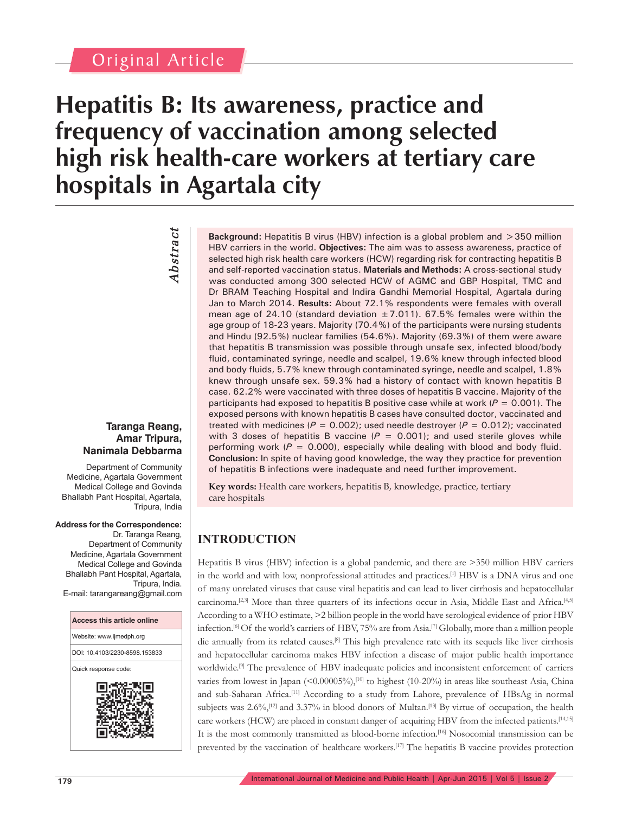# Original Article

# **Hepatitis B: Its awareness, practice and frequency of vaccination among selected high risk health-care workers at tertiary care hospitals in Agartala city**

# *Abstract* Abstract

#### **Taranga Reang, Amar Tripura, Nanimala Debbarma**

Department of Community Medicine, Agartala Government Medical College and Govinda Bhallabh Pant Hospital, Agartala, Tripura, India

#### **Address for the Correspondence:**

Dr. Taranga Reang, Department of Community Medicine, Agartala Government Medical College and Govinda Bhallabh Pant Hospital, Agartala, Tripura, India. E-mail: tarangareang@gmail.com



**Background:** Hepatitis B virus (HBV) infection is a global problem and >350 million HBV carriers in the world. **Objectives:** The aim was to assess awareness, practice of selected high risk health care workers (HCW) regarding risk for contracting hepatitis B and self-reported vaccination status. **Materials and Methods:** A cross-sectional study was conducted among 300 selected HCW of AGMC and GBP Hospital, TMC and Dr BRAM Teaching Hospital and Indira Gandhi Memorial Hospital, Agartala during Jan to March 2014. **Results:** About 72.1% respondents were females with overall mean age of 24.10 (standard deviation  $\pm 7.011$ ). 67.5% females were within the age group of 18-23 years. Majority (70.4%) of the participants were nursing students and Hindu (92.5%) nuclear families (54.6%). Majority (69.3%) of them were aware that hepatitis B transmission was possible through unsafe sex, infected blood/body fluid, contaminated syringe, needle and scalpel, 19.6% knew through infected blood and body fluids, 5.7% knew through contaminated syringe, needle and scalpel, 1.8% knew through unsafe sex. 59.3% had a history of contact with known hepatitis B case. 62.2% were vaccinated with three doses of hepatitis B vaccine. Majority of the participants had exposed to hepatitis B positive case while at work  $(P = 0.001)$ . The exposed persons with known hepatitis B cases have consulted doctor, vaccinated and treated with medicines ( $P = 0.002$ ); used needle destroyer ( $P = 0.012$ ); vaccinated with 3 doses of hepatitis B vaccine  $(P = 0.001)$ ; and used sterile gloves while performing work  $(P = 0.000)$ , especially while dealing with blood and body fluid. **Conclusion:** In spite of having good knowledge, the way they practice for prevention of hepatitis B infections were inadequate and need further improvement.

**Key words:** Health care workers, hepatitis B, knowledge, practice, tertiary care hospitals

# **INTRODUCTION**

Hepatitis B virus (HBV) infection is a global pandemic, and there are >350 million HBV carriers in the world and with low, nonprofessional attitudes and practices.[1] HBV is a DNA virus and one of many unrelated viruses that cause viral hepatitis and can lead to liver cirrhosis and hepatocellular carcinoma.<sup>[2,3]</sup> More than three quarters of its infections occur in Asia, Middle East and Africa.<sup>[4,5]</sup> According to a WHO estimate, >2 billion people in the world have serological evidence of prior HBV infection.[6] Of the world's carriers of HBV, 75% are from Asia.[7] Globally, more than a million people die annually from its related causes.[8] This high prevalence rate with its sequels like liver cirrhosis and hepatocellular carcinoma makes HBV infection a disease of major public health importance worldwide.<sup>[9]</sup> The prevalence of HBV inadequate policies and inconsistent enforcement of carriers varies from lowest in Japan (<0.00005%),<sup>[10]</sup> to highest (10-20%) in areas like southeast Asia, China and sub-Saharan Africa.<sup>[11]</sup> According to a study from Lahore, prevalence of HBsAg in normal subjects was  $2.6\%$ ,<sup>[12]</sup> and  $3.37\%$  in blood donors of Multan.<sup>[13]</sup> By virtue of occupation, the health care workers (HCW) are placed in constant danger of acquiring HBV from the infected patients.<sup>[14,15]</sup> It is the most commonly transmitted as blood-borne infection.[16] Nosocomial transmission can be prevented by the vaccination of healthcare workers.[17] The hepatitis B vaccine provides protection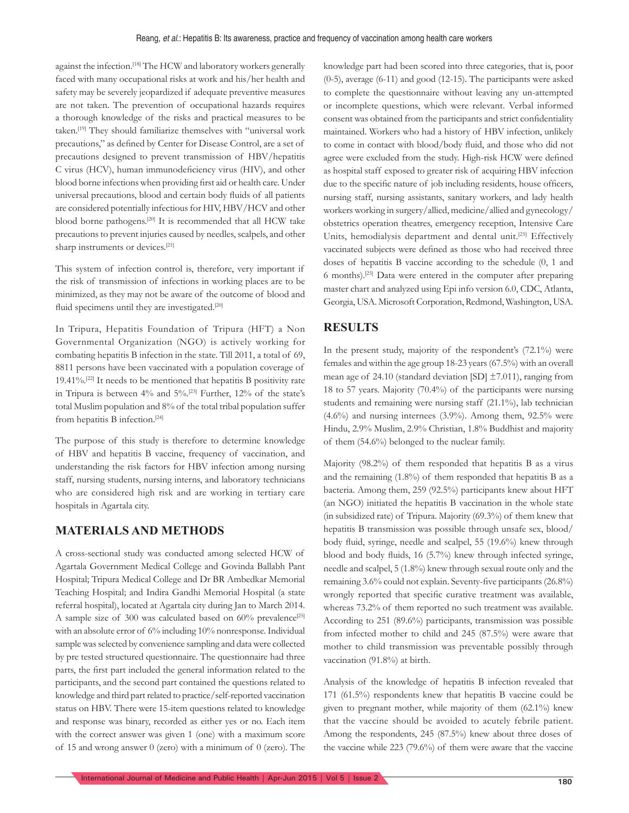against the infection.<sup>[18]</sup> The HCW and laboratory workers generally faced with many occupational risks at work and his/her health and safety may be severely jeopardized if adequate preventive measures are not taken. The prevention of occupational hazards requires a thorough knowledge of the risks and practical measures to be taken.[19] They should familiarize themselves with "universal work precautions," as defined by Center for Disease Control, are a set of precautions designed to prevent transmission of HBV/hepatitis C virus (HCV), human immunodeficiency virus (HIV), and other blood borne infections when providing first aid or health care. Under universal precautions, blood and certain body fluids of all patients are considered potentially infectious for HIV, HBV/HCV and other blood borne pathogens.[20] It is recommended that all HCW take precautions to prevent injuries caused by needles, scalpels, and other sharp instruments or devices.[21]

This system of infection control is, therefore, very important if the risk of transmission of infections in working places are to be minimized, as they may not be aware of the outcome of blood and fluid specimens until they are investigated.<sup>[20]</sup>

In Tripura, Hepatitis Foundation of Tripura (HFT) a Non Governmental Organization (NGO) is actively working for combating hepatitis B infection in the state. Till 2011, a total of 69, 8811 persons have been vaccinated with a population coverage of 19.41%.[22] It needs to be mentioned that hepatitis B positivity rate in Tripura is between 4% and 5%.[23] Further, 12% of the state's total Muslim population and 8% of the total tribal population suffer from hepatitis B infection.[24]

The purpose of this study is therefore to determine knowledge of HBV and hepatitis B vaccine, frequency of vaccination, and understanding the risk factors for HBV infection among nursing staff, nursing students, nursing interns, and laboratory technicians who are considered high risk and are working in tertiary care hospitals in Agartala city.

#### **MATERIALS AND METHODS**

A cross-sectional study was conducted among selected HCW of Agartala Government Medical College and Govinda Ballabh Pant Hospital; Tripura Medical College and Dr BR Ambedkar Memorial Teaching Hospital; and Indira Gandhi Memorial Hospital (a state referral hospital), located at Agartala city during Jan to March 2014. A sample size of 300 was calculated based on  $60\%$  prevalence<sup>[25]</sup> with an absolute error of 6% including 10% nonresponse. Individual sample was selected by convenience sampling and data were collected by pre tested structured questionnaire. The questionnaire had three parts, the first part included the general information related to the participants, and the second part contained the questions related to knowledge and third part related to practice/self-reported vaccination status on HBV. There were 15-item questions related to knowledge and response was binary, recorded as either yes or no. Each item with the correct answer was given 1 (one) with a maximum score of 15 and wrong answer 0 (zero) with a minimum of 0 (zero). The

knowledge part had been scored into three categories, that is, poor (0-5), average (6-11) and good (12-15). The participants were asked to complete the questionnaire without leaving any un-attempted or incomplete questions, which were relevant. Verbal informed consent was obtained from the participants and strict confidentiality maintained. Workers who had a history of HBV infection, unlikely to come in contact with blood/body fluid, and those who did not agree were excluded from the study. High-risk HCW were defined as hospital staff exposed to greater risk of acquiring HBV infection due to the specific nature of job including residents, house officers, nursing staff, nursing assistants, sanitary workers, and lady health workers working in surgery/allied, medicine/allied and gynecology/ obstetrics operation theatres, emergency reception, Intensive Care Units, hemodialysis department and dental unit.<sup>[25]</sup> Effectively vaccinated subjects were defined as those who had received three doses of hepatitis B vaccine according to the schedule (0, 1 and 6 months).[25] Data were entered in the computer after preparing master chart and analyzed using Epi info version 6.0, CDC, Atlanta, Georgia, USA. Microsoft Corporation, Redmond, Washington, USA.

#### **RESULTS**

In the present study, majority of the respondent's (72.1%) were females and within the age group 18-23 years (67.5%) with an overall mean age of 24.10 (standard deviation [SD]  $\pm$ 7.011), ranging from 18 to 57 years. Majority (70.4%) of the participants were nursing students and remaining were nursing staff (21.1%), lab technician  $(4.6\%)$  and nursing internees  $(3.9\%)$ . Among them,  $92.5\%$  were Hindu, 2.9% Muslim, 2.9% Christian, 1.8% Buddhist and majority of them (54.6%) belonged to the nuclear family.

Majority (98.2%) of them responded that hepatitis B as a virus and the remaining (1.8%) of them responded that hepatitis B as a bacteria. Among them, 259 (92.5%) participants knew about HFT (an NGO) initiated the hepatitis B vaccination in the whole state (in subsidized rate) of Tripura. Majority (69.3%) of them knew that hepatitis B transmission was possible through unsafe sex, blood/ body fluid, syringe, needle and scalpel, 55 (19.6%) knew through blood and body fluids,  $16$  (5.7%) knew through infected syringe, needle and scalpel, 5 (1.8%) knew through sexual route only and the remaining 3.6% could not explain. Seventy-five participants (26.8%) wrongly reported that specific curative treatment was available, whereas 73.2% of them reported no such treatment was available. According to 251 (89.6%) participants, transmission was possible from infected mother to child and 245 (87.5%) were aware that mother to child transmission was preventable possibly through vaccination (91.8%) at birth.

Analysis of the knowledge of hepatitis B infection revealed that 171 (61.5%) respondents knew that hepatitis B vaccine could be given to pregnant mother, while majority of them (62.1%) knew that the vaccine should be avoided to acutely febrile patient. Among the respondents, 245 (87.5%) knew about three doses of the vaccine while 223 (79.6%) of them were aware that the vaccine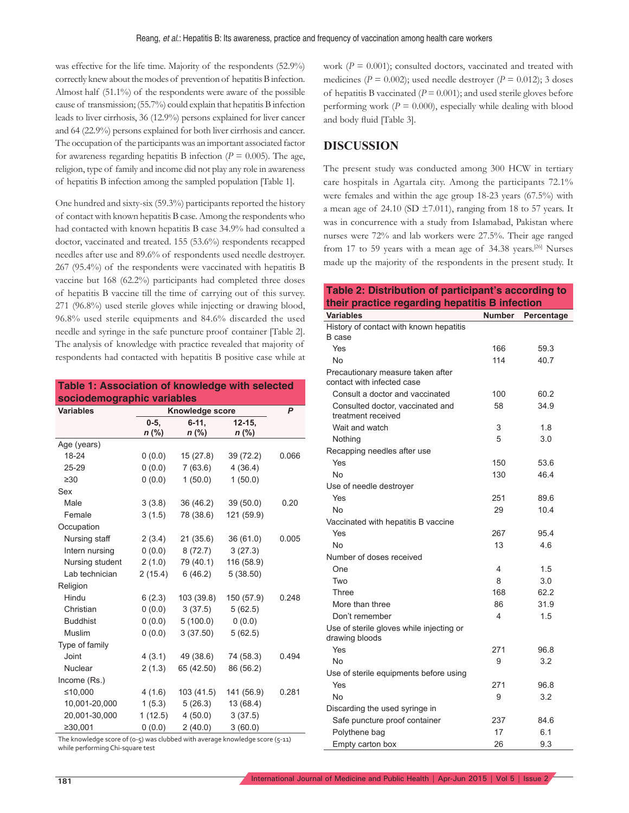was effective for the life time. Majority of the respondents (52.9%) correctly knew about the modes of prevention of hepatitis B infection. Almost half (51.1%) of the respondents were aware of the possible cause of transmission; (55.7%) could explain that hepatitis B infection leads to liver cirrhosis, 36 (12.9%) persons explained for liver cancer and 64 (22.9%) persons explained for both liver cirrhosis and cancer. The occupation of the participants was an important associated factor for awareness regarding hepatitis B infection ( $P = 0.005$ ). The age, religion, type of family and income did not play any role in awareness of hepatitis B infection among the sampled population [Table 1].

One hundred and sixty-six (59.3%) participants reported the history of contact with known hepatitis B case. Among the respondents who had contacted with known hepatitis B case 34.9% had consulted a doctor, vaccinated and treated. 155 (53.6%) respondents recapped needles after use and 89.6% of respondents used needle destroyer. 267 (95.4%) of the respondents were vaccinated with hepatitis B vaccine but 168 (62.2%) participants had completed three doses of hepatitis B vaccine till the time of carrying out of this survey. 271 (96.8%) used sterile gloves while injecting or drawing blood, 96.8% used sterile equipments and 84.6% discarded the used needle and syringe in the safe puncture proof container [Table 2]. The analysis of knowledge with practice revealed that majority of respondents had contacted with hepatitis B positive case while at

| Table 1: Association of knowledge with selected |          |                 |             |       |  |  |  |  |  |
|-------------------------------------------------|----------|-----------------|-------------|-------|--|--|--|--|--|
| sociodemographic variables                      |          |                 |             |       |  |  |  |  |  |
| <b>Variables</b>                                |          | Knowledge score |             |       |  |  |  |  |  |
|                                                 | $0 - 5.$ | $6-11.$         | $12 - 15$ , |       |  |  |  |  |  |
|                                                 | n (%)    | $n$ (%)         | $n$ (%)     |       |  |  |  |  |  |
| Age (years)                                     |          |                 |             |       |  |  |  |  |  |
| 18-24                                           | 0(0.0)   | 15(27.8)        | 39 (72.2)   | 0.066 |  |  |  |  |  |
| 25-29                                           | 0(0.0)   | 7(63.6)         | 4(36.4)     |       |  |  |  |  |  |
| $\geq 30$                                       | 0(0.0)   | 1(50.0)         | 1(50.0)     |       |  |  |  |  |  |
| Sex                                             |          |                 |             |       |  |  |  |  |  |
| Male                                            | 3(3.8)   | 36 (46.2)       | 39(50.0)    | 0.20  |  |  |  |  |  |
| Female                                          | 3(1.5)   | 78 (38.6)       | 121 (59.9)  |       |  |  |  |  |  |
| Occupation                                      |          |                 |             |       |  |  |  |  |  |
| Nursing staff                                   | 2(3.4)   | 21(35.6)        | 36(61.0)    | 0.005 |  |  |  |  |  |
| Intern nursing                                  | (0.0)    | 8(72.7)         | 3(27.3)     |       |  |  |  |  |  |
| Nursing student                                 | 2(1.0)   | 79 (40.1)       | 116 (58.9)  |       |  |  |  |  |  |
| Lab technician                                  | 2(15.4)  | 6(46.2)         | 5(38.50)    |       |  |  |  |  |  |
| Religion                                        |          |                 |             |       |  |  |  |  |  |
| Hindu                                           | 6(2.3)   | 103 (39.8)      | 150 (57.9)  | 0.248 |  |  |  |  |  |
| Christian                                       | 0(0.0)   | 3(37.5)         | 5(62.5)     |       |  |  |  |  |  |
| <b>Buddhist</b>                                 | (0.0)    | 5(100.0)        | 0(0.0)      |       |  |  |  |  |  |
| Muslim                                          | 0(0.0)   | 3(37.50)        | 5(62.5)     |       |  |  |  |  |  |
| Type of family                                  |          |                 |             |       |  |  |  |  |  |
| Joint                                           | 4(3.1)   | 49 (38.6)       | 74 (58.3)   | 0.494 |  |  |  |  |  |
| Nuclear                                         | 2(1.3)   | 65 (42.50)      | 86 (56.2)   |       |  |  |  |  |  |
| Income (Rs.)                                    |          |                 |             |       |  |  |  |  |  |
| ≤10,000                                         | 4(1.6)   | 103 (41.5)      | 141 (56.9)  | 0.281 |  |  |  |  |  |
| 10,001-20,000                                   | 1(5.3)   | 5(26.3)         | 13 (68.4)   |       |  |  |  |  |  |
| 20,001-30,000                                   | 1(12.5)  | 4(50.0)         | 3(37.5)     |       |  |  |  |  |  |
| ≥30,001                                         | 0(0.0)   | 2(40.0)         | 3(60.0)     |       |  |  |  |  |  |
|                                                 |          |                 |             |       |  |  |  |  |  |

The knowledge score of (0-5) was clubbed with average knowledge score (5-11) while performing Chi-square test

work  $(P = 0.001)$ ; consulted doctors, vaccinated and treated with medicines ( $P = 0.002$ ); used needle destroyer ( $P = 0.012$ ); 3 doses of hepatitis B vaccinated  $(P = 0.001)$ ; and used sterile gloves before performing work  $(P = 0.000)$ , especially while dealing with blood and body fluid [Table 3].

### **DISCUSSION**

The present study was conducted among 300 HCW in tertiary care hospitals in Agartala city. Among the participants 72.1% were females and within the age group 18-23 years (67.5%) with a mean age of 24.10 (SD  $\pm$ 7.011), ranging from 18 to 57 years. It was in concurrence with a study from Islamabad, Pakistan where nurses were 72% and lab workers were 27.5%. Their age ranged from 17 to 59 years with a mean age of 34.38 years.<sup>[26]</sup> Nurses made up the majority of the respondents in the present study. It

| Table 2: Distribution of participant's according to             |        |            |  |  |  |  |
|-----------------------------------------------------------------|--------|------------|--|--|--|--|
| their practice regarding hepatitis B infection                  |        |            |  |  |  |  |
| <b>Variables</b>                                                | Number | Percentage |  |  |  |  |
| History of contact with known hepatitis                         |        |            |  |  |  |  |
| <b>B</b> case                                                   |        |            |  |  |  |  |
| Yes                                                             | 166    | 59.3       |  |  |  |  |
| <b>No</b>                                                       | 114    | 40.7       |  |  |  |  |
| Precautionary measure taken after<br>contact with infected case |        |            |  |  |  |  |
| Consult a doctor and vaccinated                                 | 100    | 60.2       |  |  |  |  |
| Consulted doctor, vaccinated and<br>treatment received          | 58     | 34.9       |  |  |  |  |
| Wait and watch                                                  | 3      | 1.8        |  |  |  |  |
| Nothing                                                         | 5      | 3.0        |  |  |  |  |
| Recapping needles after use                                     |        |            |  |  |  |  |
| Yes                                                             | 150    | 53.6       |  |  |  |  |
| <b>No</b>                                                       | 130    | 46.4       |  |  |  |  |
| Use of needle destroyer                                         |        |            |  |  |  |  |
| Yes                                                             | 251    | 89.6       |  |  |  |  |
| <b>No</b>                                                       | 29     | 10.4       |  |  |  |  |
| Vaccinated with hepatitis B vaccine                             |        |            |  |  |  |  |
| Yes                                                             | 267    | 95.4       |  |  |  |  |
| No                                                              | 13     | 4.6        |  |  |  |  |
| Number of doses received                                        |        |            |  |  |  |  |
| One                                                             | 4      | 1.5        |  |  |  |  |
| Two                                                             | 8      | 3.0        |  |  |  |  |
| Three                                                           | 168    | 62.2       |  |  |  |  |
| More than three                                                 | 86     | 31.9       |  |  |  |  |
| Don't remember                                                  | 4      | 1.5        |  |  |  |  |
| Use of sterile gloves while injecting or<br>drawing bloods      |        |            |  |  |  |  |
| Yes                                                             | 271    | 96.8       |  |  |  |  |
| No                                                              | 9      | 3.2        |  |  |  |  |
| Use of sterile equipments before using                          |        |            |  |  |  |  |
| Yes                                                             | 271    | 96.8       |  |  |  |  |
| No                                                              | 9      | 3.2        |  |  |  |  |
| Discarding the used syringe in                                  |        |            |  |  |  |  |
| Safe puncture proof container                                   | 237    | 84.6       |  |  |  |  |
| Polythene bag                                                   | 17     | 6.1        |  |  |  |  |
| Empty carton box                                                | 26     | 9.3        |  |  |  |  |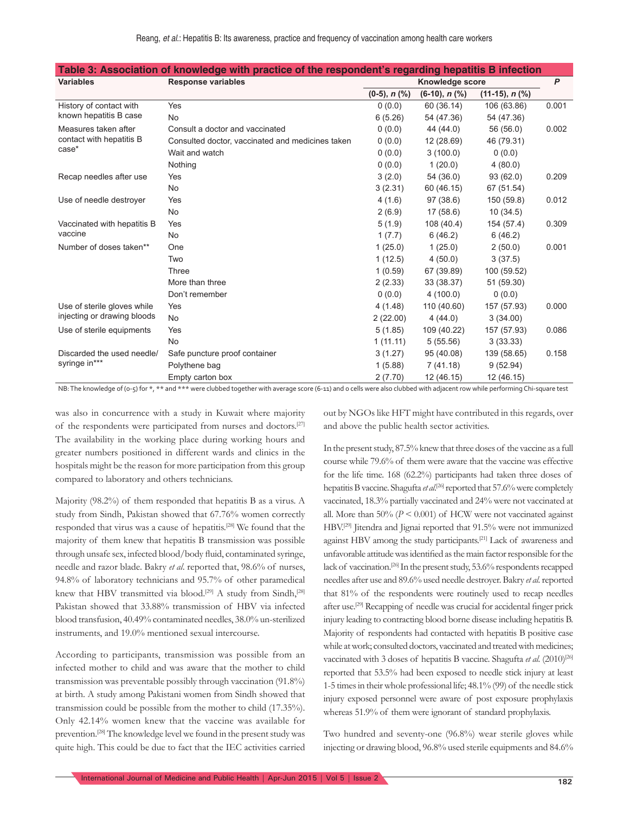| Table 3: Association of knowledge with practice of the respondent's regarding hepatitis B infection |                                                  |                    |                 |                     |       |  |  |  |
|-----------------------------------------------------------------------------------------------------|--------------------------------------------------|--------------------|-----------------|---------------------|-------|--|--|--|
| <b>Variables</b>                                                                                    | <b>Response variables</b>                        | Knowledge score    |                 |                     | P     |  |  |  |
|                                                                                                     |                                                  | $(0-5)$ , n $(\%)$ | $(6-10), n (%)$ | $(11-15), n$ $(\%)$ |       |  |  |  |
| History of contact with<br>known hepatitis B case                                                   | Yes                                              | 0(0.0)             | 60 (36.14)      | 106 (63.86)         | 0.001 |  |  |  |
|                                                                                                     | <b>No</b>                                        | 6(5.26)            | 54 (47.36)      | 54 (47.36)          |       |  |  |  |
| Measures taken after<br>contact with hepatitis B<br>case*                                           | Consult a doctor and vaccinated                  | 0(0.0)             | 44 (44.0)       | 56 (56.0)           | 0.002 |  |  |  |
|                                                                                                     | Consulted doctor, vaccinated and medicines taken | 0(0.0)             | 12 (28.69)      | 46 (79.31)          |       |  |  |  |
|                                                                                                     | Wait and watch                                   | 0(0.0)             | 3(100.0)        | 0(0.0)              |       |  |  |  |
|                                                                                                     | Nothing                                          | 0(0.0)             | 1(20.0)         | 4(80.0)             |       |  |  |  |
| Recap needles after use                                                                             | Yes                                              | 3(2.0)             | 54 (36.0)       | 93(62.0)            | 0.209 |  |  |  |
|                                                                                                     | <b>No</b>                                        | 3(2.31)            | 60 (46.15)      | 67 (51.54)          |       |  |  |  |
| Use of needle destrover                                                                             | Yes                                              | 4(1.6)             | 97(38.6)        | 150 (59.8)          | 0.012 |  |  |  |
|                                                                                                     | <b>No</b>                                        | 2(6.9)             | 17(58.6)        | 10(34.5)            |       |  |  |  |
| Vaccinated with hepatitis B<br>vaccine                                                              | Yes                                              | 5(1.9)             | 108 (40.4)      | 154 (57.4)          | 0.309 |  |  |  |
|                                                                                                     | <b>No</b>                                        | 1(7.7)             | 6(46.2)         | 6(46.2)             |       |  |  |  |
| Number of doses taken**                                                                             | One                                              | 1(25.0)            | 1(25.0)         | 2(50.0)             | 0.001 |  |  |  |
|                                                                                                     | Two                                              | 1(12.5)            | 4(50.0)         | 3(37.5)             |       |  |  |  |
|                                                                                                     | Three                                            | 1(0.59)            | 67 (39.89)      | 100 (59.52)         |       |  |  |  |
|                                                                                                     | More than three                                  | 2(2.33)            | 33 (38.37)      | 51 (59.30)          |       |  |  |  |
|                                                                                                     | Don't remember                                   | 0(0.0)             | 4(100.0)        | 0(0.0)              |       |  |  |  |
| Use of sterile gloves while<br>injecting or drawing bloods                                          | Yes                                              | 4(1.48)            | 110 (40.60)     | 157 (57.93)         | 0.000 |  |  |  |
|                                                                                                     | <b>No</b>                                        | 2(22.00)           | 4(44.0)         | 3(34.00)            |       |  |  |  |
| Use of sterile equipments                                                                           | Yes                                              | 5(1.85)            | 109 (40.22)     | 157 (57.93)         | 0.086 |  |  |  |
|                                                                                                     | <b>No</b>                                        | 1(11.11)           | 5(55.56)        | 3(33.33)            |       |  |  |  |
| Discarded the used needle/<br>syringe in***                                                         | Safe puncture proof container                    | 3(1.27)            | 95 (40.08)      | 139 (58.65)         | 0.158 |  |  |  |
|                                                                                                     | Polythene bag                                    | 1(5.88)            | 7(41.18)        | 9(52.94)            |       |  |  |  |
|                                                                                                     | Empty carton box                                 | 2(7.70)            | 12 (46.15)      | 12 (46.15)          |       |  |  |  |

NB: The knowledge of (o-5) for \*, \*\* and \*\*\* were clubbed together with average score (6-11) and o cells were also clubbed with adjacent row while performing Chi-square test

was also in concurrence with a study in Kuwait where majority of the respondents were participated from nurses and doctors.[27] The availability in the working place during working hours and greater numbers positioned in different wards and clinics in the hospitals might be the reason for more participation from this group compared to laboratory and others technicians.

Majority (98.2%) of them responded that hepatitis B as a virus. A study from Sindh, Pakistan showed that 67.76% women correctly responded that virus was a cause of hepatitis.[28] We found that the majority of them knew that hepatitis B transmission was possible through unsafe sex, infected blood/body fluid, contaminated syringe, needle and razor blade. Bakry *et al*. reported that, 98.6% of nurses, 94.8% of laboratory technicians and 95.7% of other paramedical knew that HBV transmitted via blood.<sup>[29]</sup> A study from Sindh,<sup>[28]</sup> Pakistan showed that 33.88% transmission of HBV via infected blood transfusion, 40.49% contaminated needles, 38.0% un-sterilized instruments, and 19.0% mentioned sexual intercourse.

According to participants, transmission was possible from an infected mother to child and was aware that the mother to child transmission was preventable possibly through vaccination (91.8%) at birth. A study among Pakistani women from Sindh showed that transmission could be possible from the mother to child (17.35%). Only 42.14% women knew that the vaccine was available for prevention.[28] The knowledge level we found in the present study was quite high. This could be due to fact that the IEC activities carried out by NGOs like HFT might have contributed in this regards, over and above the public health sector activities.

In the present study, 87.5% knew that three doses of the vaccine as a full course while 79.6% of them were aware that the vaccine was effective for the life time. 168 (62.2%) participants had taken three doses of hepatitis B vaccine. Shagufta *et al*. [26] reported that 57.6% were completely vaccinated, 18.3% partially vaccinated and 24% were not vaccinated at all. More than 50% (*P* < 0.001) of HCW were not vaccinated against HBV.<sup>[29]</sup> Jitendra and Jignai reported that 91.5% were not immunized against HBV among the study participants.[21] Lack of awareness and unfavorable attitude was identified as the main factor responsible for the lack of vaccination.<sup>[26]</sup> In the present study, 53.6% respondents recapped needles after use and 89.6% used needle destroyer. Bakry *et al*. reported that 81% of the respondents were routinely used to recap needles after use.<sup>[29]</sup> Recapping of needle was crucial for accidental finger prick injury leading to contracting blood borne disease including hepatitis B. Majority of respondents had contacted with hepatitis B positive case while at work; consulted doctors, vaccinated and treated with medicines; vaccinated with 3 doses of hepatitis B vaccine. Shagufta et al. (2010)<sup>[26]</sup> reported that 53.5% had been exposed to needle stick injury at least 1-5 times in their whole professional life; 48.1% (99) of the needle stick injury exposed personnel were aware of post exposure prophylaxis whereas 51.9% of them were ignorant of standard prophylaxis.

Two hundred and seventy-one (96.8%) wear sterile gloves while injecting or drawing blood, 96.8% used sterile equipments and 84.6%